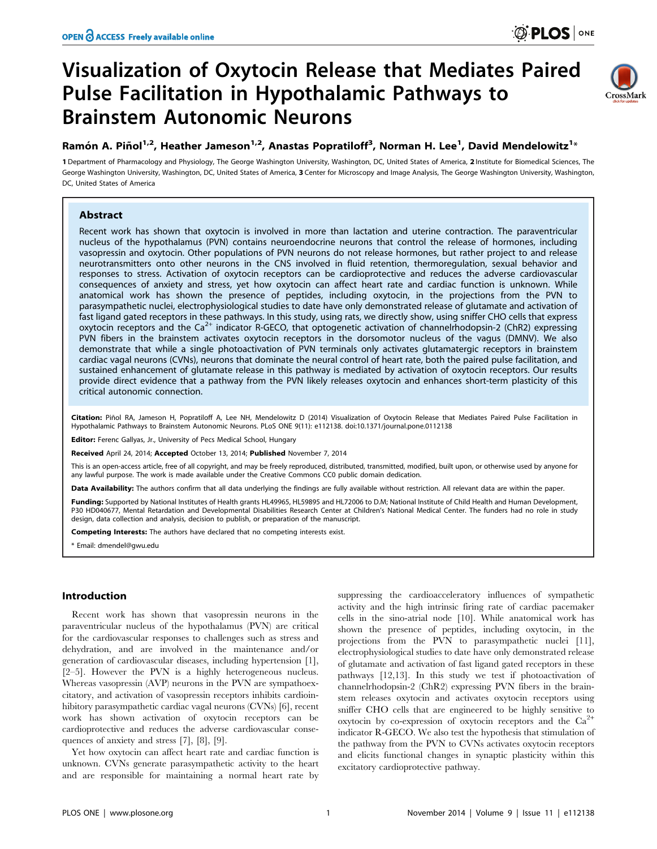# Visualization of Oxytocin Release that Mediates Paired Pulse Facilitation in Hypothalamic Pathways to Brainstem Autonomic Neurons



## Ramón A. Piñol $^{1,2}$ , Heather Jameson $^{1,2}$ , Anastas Popratiloff $^3$ , Norman H. Lee $^1$ , David Mendelowitz $^{1_\times}$

1 Department of Pharmacology and Physiology, The George Washington University, Washington, DC, United States of America, 2 Institute for Biomedical Sciences, The George Washington University, Washington, DC, United States of America, 3 Center for Microscopy and Image Analysis, The George Washington University, Washington, DC, United States of America

## Abstract

Recent work has shown that oxytocin is involved in more than lactation and uterine contraction. The paraventricular nucleus of the hypothalamus (PVN) contains neuroendocrine neurons that control the release of hormones, including vasopressin and oxytocin. Other populations of PVN neurons do not release hormones, but rather project to and release neurotransmitters onto other neurons in the CNS involved in fluid retention, thermoregulation, sexual behavior and responses to stress. Activation of oxytocin receptors can be cardioprotective and reduces the adverse cardiovascular consequences of anxiety and stress, yet how oxytocin can affect heart rate and cardiac function is unknown. While anatomical work has shown the presence of peptides, including oxytocin, in the projections from the PVN to parasympathetic nuclei, electrophysiological studies to date have only demonstrated release of glutamate and activation of fast ligand gated receptors in these pathways. In this study, using rats, we directly show, using sniffer CHO cells that express oxytocin receptors and the Ca<sup>2+</sup> indicator R-GECO, that optogenetic activation of channelrhodopsin-2 (ChR2) expressing PVN fibers in the brainstem activates oxytocin receptors in the dorsomotor nucleus of the vagus (DMNV). We also demonstrate that while a single photoactivation of PVN terminals only activates glutamatergic receptors in brainstem cardiac vagal neurons (CVNs), neurons that dominate the neural control of heart rate, both the paired pulse facilitation, and sustained enhancement of glutamate release in this pathway is mediated by activation of oxytocin receptors. Our results provide direct evidence that a pathway from the PVN likely releases oxytocin and enhances short-term plasticity of this critical autonomic connection.

Citation: Pinol RA, Jameson H, Popratiloff A, Lee NH, Mendelowitz D (2014) Visualization of Oxytocin Release that Mediates Paired Pulse Facilitation in Hypothalamic Pathways to Brainstem Autonomic Neurons. PLoS ONE 9(11): e112138. doi:10.1371/journal.pone.0112138

Editor: Ferenc Gallyas, Jr., University of Pecs Medical School, Hungary

Received April 24, 2014; Accepted October 13, 2014; Published November 7, 2014

This is an open-access article, free of all copyright, and may be freely reproduced, distributed, transmitted, modified, built upon, or otherwise used by anyone for any lawful purpose. The work is made available under the Creative Commons CC0 public domain dedication.

Data Availability: The authors confirm that all data underlying the findings are fully available without restriction. All relevant data are within the paper.

Funding: Supported by National Institutes of Health grants HL49965, HL59895 and HL72006 to D.M; National Institute of Child Health and Human Development, P30 HD040677, Mental Retardation and Developmental Disabilities Research Center at Children's National Medical Center. The funders had no role in study design, data collection and analysis, decision to publish, or preparation of the manuscript.

Competing Interests: The authors have declared that no competing interests exist.

\* Email: dmendel@gwu.edu

## Introduction

Recent work has shown that vasopressin neurons in the paraventricular nucleus of the hypothalamus (PVN) are critical for the cardiovascular responses to challenges such as stress and dehydration, and are involved in the maintenance and/or generation of cardiovascular diseases, including hypertension [1], [2–5]. However the PVN is a highly heterogeneous nucleus. Whereas vasopressin (AVP) neurons in the PVN are sympathoexcitatory, and activation of vasopressin receptors inhibits cardioinhibitory parasympathetic cardiac vagal neurons (CVNs) [6], recent work has shown activation of oxytocin receptors can be cardioprotective and reduces the adverse cardiovascular consequences of anxiety and stress [7], [8], [9].

Yet how oxytocin can affect heart rate and cardiac function is unknown. CVNs generate parasympathetic activity to the heart and are responsible for maintaining a normal heart rate by

suppressing the cardioacceleratory influences of sympathetic activity and the high intrinsic firing rate of cardiac pacemaker cells in the sino-atrial node [10]. While anatomical work has shown the presence of peptides, including oxytocin, in the projections from the PVN to parasympathetic nuclei [11], electrophysiological studies to date have only demonstrated release of glutamate and activation of fast ligand gated receptors in these pathways [12,13]. In this study we test if photoactivation of channelrhodopsin-2 (ChR2) expressing PVN fibers in the brainstem releases oxytocin and activates oxytocin receptors using sniffer CHO cells that are engineered to be highly sensitive to oxytocin by co-expression of oxytocin receptors and the  $Ca^{2+}$ indicator R-GECO. We also test the hypothesis that stimulation of the pathway from the PVN to CVNs activates oxytocin receptors and elicits functional changes in synaptic plasticity within this excitatory cardioprotective pathway.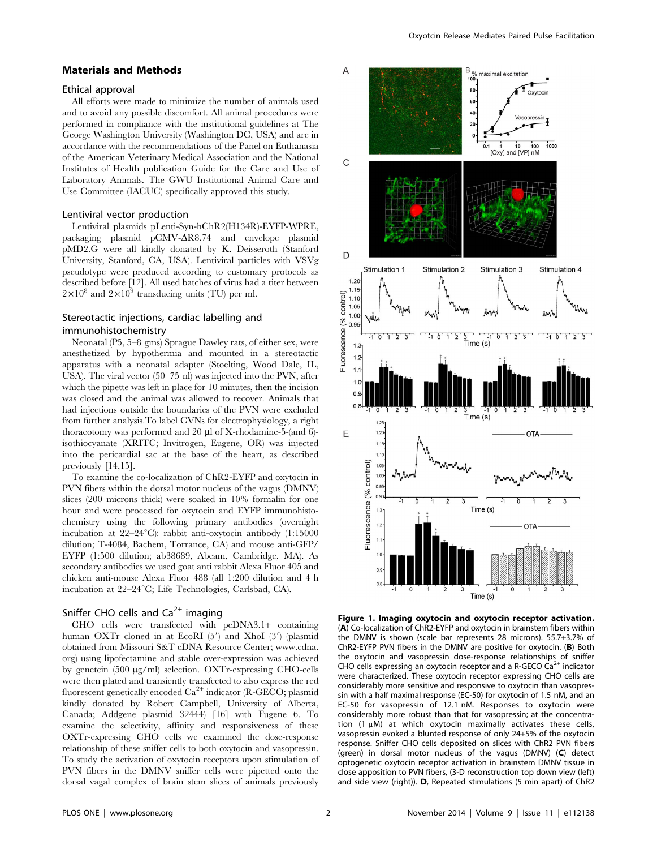#### Materials and Methods

#### Ethical approval

All efforts were made to minimize the number of animals used and to avoid any possible discomfort. All animal procedures were performed in compliance with the institutional guidelines at The George Washington University (Washington DC, USA) and are in accordance with the recommendations of the Panel on Euthanasia of the American Veterinary Medical Association and the National Institutes of Health publication Guide for the Care and Use of Laboratory Animals. The GWU Institutional Animal Care and Use Committee (IACUC) specifically approved this study.

## Lentiviral vector production

Lentiviral plasmids pLenti-Syn-hChR2(H134R)-EYFP-WPRE, packaging plasmid  $pCMV- $\Delta R8.74$  and envelope plasmid$ pMD2.G were all kindly donated by K. Deisseroth (Stanford University, Stanford, CA, USA). Lentiviral particles with VSVg pseudotype were produced according to customary protocols as described before [12]. All used batches of virus had a titer between  $2\times10^8$  and  $2\times10^9$  transducing units (TU) per ml.

## Stereotactic injections, cardiac labelling and immunohistochemistry

Neonatal (P5, 5–8 gms) Sprague Dawley rats, of either sex, were anesthetized by hypothermia and mounted in a stereotactic apparatus with a neonatal adapter (Stoelting, Wood Dale, IL, USA). The viral vector (50–75 nl) was injected into the PVN, after which the pipette was left in place for 10 minutes, then the incision was closed and the animal was allowed to recover. Animals that had injections outside the boundaries of the PVN were excluded from further analysis.To label CVNs for electrophysiology, a right thoracotomy was performed and 20 µl of X-rhodamine-5-(and 6)isothiocyanate (XRITC; Invitrogen, Eugene, OR) was injected into the pericardial sac at the base of the heart, as described previously [14,15].

To examine the co-localization of ChR2-EYFP and oxytocin in PVN fibers within the dorsal motor nucleus of the vagus (DMNV) slices (200 microns thick) were soaked in 10% formalin for one hour and were processed for oxytocin and EYFP immunohistochemistry using the following primary antibodies (overnight incubation at  $22-24$ °C): rabbit anti-oxytocin antibody (1:15000 dilution; T-4084, Bachem, Torrance, CA) and mouse anti-GFP/ EYFP (1:500 dilution; ab38689, Abcam, Cambridge, MA). As secondary antibodies we used goat anti rabbit Alexa Fluor 405 and chicken anti-mouse Alexa Fluor 488 (all 1:200 dilution and 4 h incubation at 22–24°C; Life Technologies, Carlsbad, CA).

## Sniffer CHO cells and  $Ca<sup>2+</sup>$  imaging

CHO cells were transfected with pcDNA3.1+ containing human OXTr cloned in at EcoRI  $(5')$  and XhoI  $(3')$  (plasmid obtained from Missouri S&T cDNA Resource Center; [www.cdna.](www.cdna.org) [org\)](www.cdna.org) using lipofectamine and stable over-expression was achieved by genetcin (500 mg/ml) selection. OXTr-expressing CHO-cells were then plated and transiently transfected to also express the red fluorescent genetically encoded  $Ca<sup>2+</sup>$  indicator (R-GECO; plasmid kindly donated by Robert Campbell, University of Alberta, Canada; Addgene plasmid 32444) [16] with Fugene 6. To examine the selectivity, affinity and responsiveness of these OXTr-expressing CHO cells we examined the dose-response relationship of these sniffer cells to both oxytocin and vasopressin. To study the activation of oxytocin receptors upon stimulation of PVN fibers in the DMNV sniffer cells were pipetted onto the dorsal vagal complex of brain stem slices of animals previously



Figure 1. Imaging oxytocin and oxytocin receptor activation. (A) Co-localization of ChR2-EYFP and oxytocin in brainstem fibers within the DMNV is shown (scale bar represents 28 microns). 55.7+3.7% of ChR2-EYFP PVN fibers in the DMNV are positive for oxytocin. (B) Both the oxytocin and vasopressin dose-response relationships of sniffer CHO cells expressing an oxytocin receptor and a R-GECO  $\text{Ca}^{2+}$  indicator were characterized. These oxytocin receptor expressing CHO cells are considerably more sensitive and responsive to oxytocin than vasopressin with a half maximal response (EC-50) for oxytocin of 1.5 nM, and an EC-50 for vasopressin of 12.1 nM. Responses to oxytocin were considerably more robust than that for vasopressin; at the concentration (1  $\mu$ M) at which oxytocin maximally activates these cells, vasopressin evoked a blunted response of only 24+5% of the oxytocin response. Sniffer CHO cells deposited on slices with ChR2 PVN fibers (green) in dorsal motor nucleus of the vagus (DMNV) (C) detect optogenetic oxytocin receptor activation in brainstem DMNV tissue in close apposition to PVN fibers, (3-D reconstruction top down view (left) and side view (right)). D, Repeated stimulations (5 min apart) of ChR2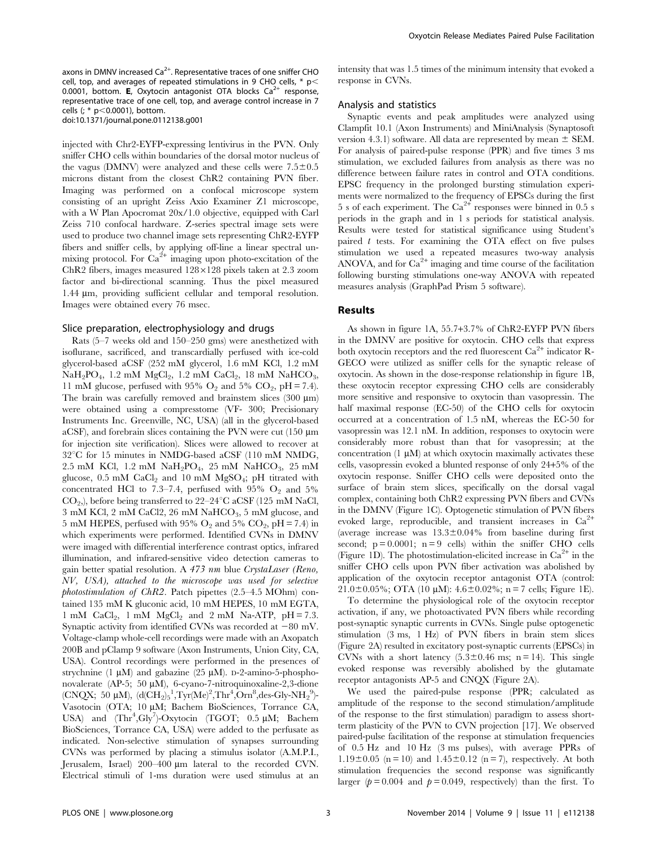axons in DMNV increased  $\text{Ca}^{2+}$ . Representative traces of one sniffer CHO cell, top, and averages of repeated stimulations in 9 CHO cells,  $*$  p $<$ 0.0001, bottom. **E**, Oxytocin antagonist OTA blocks  $Ca^{2+}$  response, representative trace of one cell, top, and average control increase in 7 cells (;  $*$  p $<$ 0.0001), bottom.

doi:10.1371/journal.pone.0112138.g001

injected with Chr2-EYFP-expressing lentivirus in the PVN. Only sniffer CHO cells within boundaries of the dorsal motor nucleus of the vagus (DMNV) were analyzed and these cells were  $7.5\pm0.5$ microns distant from the closest ChR2 containing PVN fiber. Imaging was performed on a confocal microscope system consisting of an upright Zeiss Axio Examiner Z1 microscope, with a W Plan Apocromat 20x/1.0 objective, equipped with Carl Zeiss 710 confocal hardware. Z-series spectral image sets were used to produce two channel image sets representing ChR2-EYFP fibers and sniffer cells, by applying off-line a linear spectral unmixing protocol. For  $Ca^{2+}$  imaging upon photo-excitation of the ChR2 fibers, images measured  $128\times128$  pixels taken at 2.3 zoom factor and bi-directional scanning. Thus the pixel measured 1.44 µm, providing sufficient cellular and temporal resolution. Images were obtained every 76 msec.

## Slice preparation, electrophysiology and drugs

Rats (5–7 weeks old and 150–250 gms) were anesthetized with isoflurane, sacrificed, and transcardially perfused with ice-cold glycerol-based aCSF (252 mM glycerol, 1.6 mM KCl, 1.2 mM  $NaH<sub>2</sub>PO<sub>4</sub>$ , 1.2 mM  $MgCl<sub>2</sub>$ , 1.2 mM  $CaCl<sub>2</sub>$ , 18 mM  $NaHCO<sub>3</sub>$ , 11 mM glucose, perfused with 95%  $O_2$  and 5%  $CO_2$ , pH = 7.4). The brain was carefully removed and brainstem slices  $(300 \mu m)$ were obtained using a compresstome (VF- 300; Precisionary Instruments Inc. Greenville, NC, USA) (all in the glycerol-based aCSF), and forebrain slices containing the PVN were cut  $(150 \mu m)$ for injection site verification). Slices were allowed to recover at  $32^{\circ}$ C for 15 minutes in NMDG-based aCSF (110 mM NMDG, 2.5 mM KCl, 1.2 mM  $NaH<sub>2</sub>PO<sub>4</sub>$ , 25 mM  $NaHCO<sub>3</sub>$ , 25 mM glucose,  $0.5$  mM CaCl<sub>2</sub> and 10 mM MgSO<sub>4</sub>; pH titrated with concentrated HCl to 7.3–7.4, perfused with 95%  $O_2$  and 5%  $CO<sub>2</sub>$ ), before being transferred to 22–24 $\degree$ C aCSF (125 mM NaCl,  $3 \text{ mM KCl}, 2 \text{ mM CaCl}, 26 \text{ mM NaHCO}, 5 \text{ mM glucose},$  and 5 mM HEPES, perfused with 95%  $O_2$  and 5%  $CO_2$ , pH = 7.4) in which experiments were performed. Identified CVNs in DMNV were imaged with differential interference contrast optics, infrared illumination, and infrared-sensitive video detection cameras to gain better spatial resolution. A 473 nm blue CrystaLaser (Reno, NV, USA), attached to the microscope was used for selective photostimulation of ChR2. Patch pipettes (2.5–4.5 MOhm) contained 135 mM K gluconic acid, 10 mM HEPES, 10 mM EGTA, 1 mM  $CaCl<sub>2</sub>$ , 1 mM  $MgCl<sub>2</sub>$  and 2 mM Na-ATP, pH = 7.3. Synaptic activity from identified CVNs was recorded at  $-80$  mV. Voltage-clamp whole-cell recordings were made with an Axopatch 200B and pClamp 9 software (Axon Instruments, Union City, CA, USA). Control recordings were performed in the presences of strychnine (1  $\mu$ M) and gabazine (25  $\mu$ M). D-2-amino-5-phosphonovalerate (AP-5; 50 µM), 6-cyano-7-nitroquinoxaline-2,3-dione (CNQX; 50 µM),  $(d(CH_2)_5^1, Tyr(Me)^2, Thr^4, Orn^8, des-Gly-NH<sub>2</sub><sup>9</sup>)$ -Vasotocin (OTA; 10 µM; Bachem BioSciences, Torrance CA, USA) and  $(Thr^4, Gly^7)$ -Oxytocin (TGOT; 0.5 µM; Bachem BioSciences, Torrance CA, USA) were added to the perfusate as indicated. Non-selective stimulation of synapses surrounding CVNs was performed by placing a stimulus isolator (A.M.P.I., Jerusalem, Israel) 200-400  $\mu$ m lateral to the recorded CVN. Electrical stimuli of 1-ms duration were used stimulus at an intensity that was 1.5 times of the minimum intensity that evoked a response in CVNs.

### Analysis and statistics

Synaptic events and peak amplitudes were analyzed using Clampfit 10.1 (Axon Instruments) and MiniAnalysis (Synaptosoft version 4.3.1) software. All data are represented by mean  $\pm$  SEM. For analysis of paired-pulse response (PPR) and five times 3 ms stimulation, we excluded failures from analysis as there was no difference between failure rates in control and OTA conditions. EPSC frequency in the prolonged bursting stimulation experiments were normalized to the frequency of EPSCs during the first 5 s of each experiment. The  $\text{Ca}^{2+}$  responses were binned in 0.5 s periods in the graph and in 1 s periods for statistical analysis. Results were tested for statistical significance using Student's paired  $t$  tests. For examining the OTA effect on five pulses stimulation we used a repeated measures two-way analysis ANOVA, and for  $Ca^{2+}$  imaging and time course of the facilitation following bursting stimulations one-way ANOVA with repeated measures analysis (GraphPad Prism 5 software).

#### Results

As shown in figure 1A, 55.7+3.7% of ChR2-EYFP PVN fibers in the DMNV are positive for oxytocin. CHO cells that express both oxytocin receptors and the red fluorescent  $Ca^{2+}$  indicator R-GECO were utilized as sniffer cells for the synaptic release of oxytocin. As shown in the dose-response relationship in figure 1B, these oxytocin receptor expressing CHO cells are considerably more sensitive and responsive to oxytocin than vasopressin. The half maximal response (EC-50) of the CHO cells for oxytocin occurred at a concentration of 1.5 nM, whereas the EC-50 for vasopressin was 12.1 nM. In addition, responses to oxytocin were considerably more robust than that for vasopressin; at the concentration  $(1 \mu M)$  at which oxytocin maximally activates these cells, vasopressin evoked a blunted response of only 24+5% of the oxytocin response. Sniffer CHO cells were deposited onto the surface of brain stem slices, specifically on the dorsal vagal complex, containing both ChR2 expressing PVN fibers and CVNs in the DMNV (Figure 1C). Optogenetic stimulation of PVN fibers evoked large, reproducible, and transient increases in  $Ca^{2+}$ (average increase was  $13.3 \pm 0.04\%$  from baseline during first second;  $p = 0.0001$ ;  $n = 9$  cells) within the sniffer CHO cells (Figure 1D). The photostimulation-elicited increase in  $Ca^{2+}$  in the sniffer CHO cells upon PVN fiber activation was abolished by application of the oxytocin receptor antagonist OTA (control: 21.0±0.05%; OTA (10  $\mu$ M): 4.6±0.02%; n = 7 cells; Figure 1E).

To determine the physiological role of the oxytocin receptor activation, if any, we photoactivated PVN fibers while recording post-synaptic synaptic currents in CVNs. Single pulse optogenetic stimulation (3 ms, 1 Hz) of PVN fibers in brain stem slices (Figure 2A) resulted in excitatory post-synaptic currents (EPSCs) in CVNs with a short latency  $(5.3 \pm 0.46 \text{ ms}; \text{ n} = 14)$ . This single evoked response was reversibly abolished by the glutamate receptor antagonists AP-5 and CNQX (Figure 2A).

We used the paired-pulse response (PPR; calculated as amplitude of the response to the second stimulation/amplitude of the response to the first stimulation) paradigm to assess shortterm plasticity of the PVN to CVN projection [17]. We observed paired-pulse facilitation of the response at stimulation frequencies of 0.5 Hz and 10 Hz (3 ms pulses), with average PPRs of  $1.19\pm0.05$  (n = 10) and  $1.45\pm0.12$  (n = 7), respectively. At both stimulation frequencies the second response was significantly larger ( $p = 0.004$  and  $p = 0.049$ , respectively) than the first. To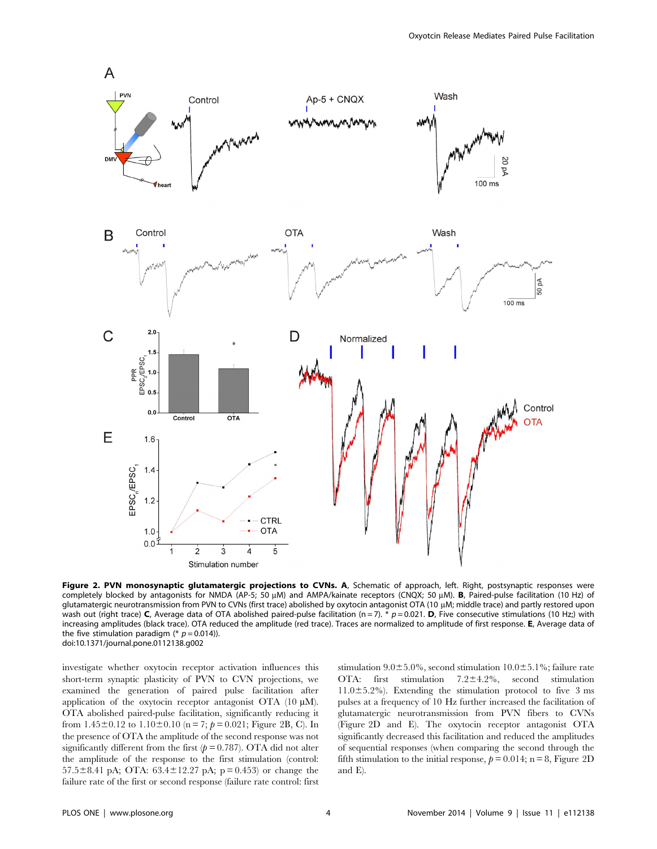

Figure 2. PVN monosynaptic glutamatergic projections to CVNs. A, Schematic of approach, left. Right, postsynaptic responses were completely blocked by antagonists for NMDA (AP-5; 50 µM) and AMPA/kainate receptors (CNQX; 50 µM). B, Paired-pulse facilitation (10 Hz) of glutamatergic neurotransmission from PVN to CVNs (first trace) abolished by oxytocin antagonist OTA (10 µM; middle trace) and partly restored upon wash out (right trace) C, Average data of OTA abolished paired-pulse facilitation (n = 7).  $*$  p = 0.021. D, Five consecutive stimulations (10 Hz;) with increasing amplitudes (black trace). OTA reduced the amplitude (red trace). Traces are normalized to amplitude of first response. E, Average data of the five stimulation paradigm (\*  $p = 0.014$ )). doi:10.1371/journal.pone.0112138.g002

investigate whether oxytocin receptor activation influences this short-term synaptic plasticity of PVN to CVN projections, we examined the generation of paired pulse facilitation after application of the oxytocin receptor antagonist OTA  $(10 \mu M)$ . OTA abolished paired-pulse facilitation, significantly reducing it from  $1.45\pm0.12$  to  $1.10\pm0.10$  (n = 7;  $p = 0.021$ ; Figure 2B, C). In the presence of OTA the amplitude of the second response was not significantly different from the first  $(p = 0.787)$ . OTA did not alter the amplitude of the response to the first stimulation (control: 57.5 $\pm$ 8.41 pA; OTA: 63.4 $\pm$ 12.27 pA; p = 0.453) or change the failure rate of the first or second response (failure rate control: first stimulation  $9.0 \pm 5.0$ %, second stimulation  $10.0 \pm 5.1$ %; failure rate OTA: first stimulation  $7.2 \pm 4.2\%$ , second stimulation  $11.0\pm5.2\%$ ). Extending the stimulation protocol to five 3 ms pulses at a frequency of 10 Hz further increased the facilitation of glutamatergic neurotransmission from PVN fibers to CVNs (Figure 2D and E). The oxytocin receptor antagonist OTA significantly decreased this facilitation and reduced the amplitudes of sequential responses (when comparing the second through the fifth stimulation to the initial response,  $p = 0.014$ ; n = 8, Figure 2D and E).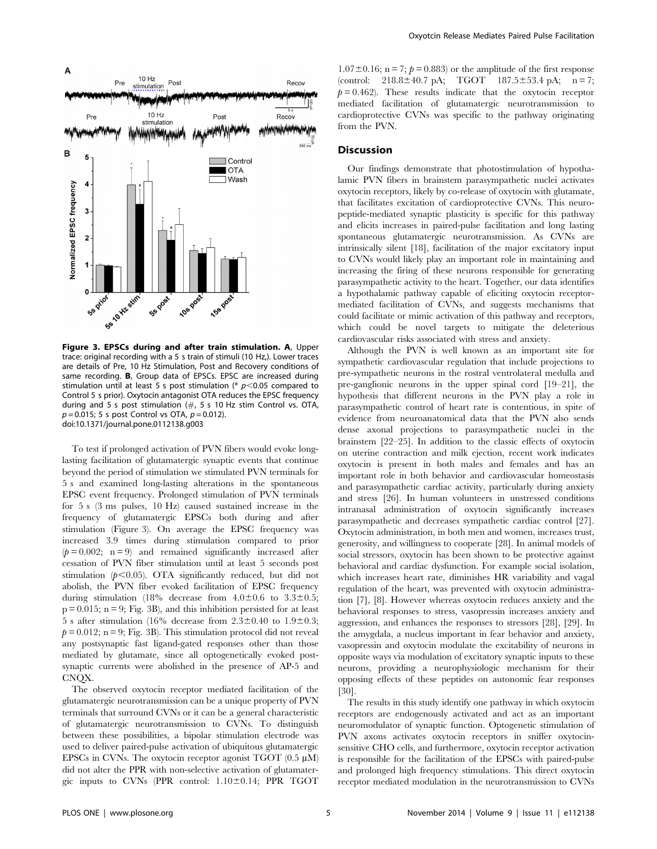

Figure 3. EPSCs during and after train stimulation. A, Upper trace: original recording with a 5 s train of stimuli (10 Hz,). Lower traces are details of Pre, 10 Hz Stimulation, Post and Recovery conditions of same recording. B, Group data of EPSCs. EPSC are increased during stimulation until at least 5 s post stimulation (\*  $p$ <0.05 compared to Control 5 s prior). Oxytocin antagonist OTA reduces the EPSC frequency during and 5 s post stimulation  $(\#$ , 5 s 10 Hz stim Control vs. OTA,  $p = 0.015$ ; 5 s post Control vs OTA,  $p = 0.012$ ). doi:10.1371/journal.pone.0112138.g003

To test if prolonged activation of PVN fibers would evoke longlasting facilitation of glutamatergic synaptic events that continue beyond the period of stimulation we stimulated PVN terminals for 5 s and examined long-lasting alterations in the spontaneous EPSC event frequency. Prolonged stimulation of PVN terminals for 5 s (3 ms pulses, 10 Hz) caused sustained increase in the frequency of glutamatergic EPSCs both during and after stimulation (Figure 3). On average the EPSC frequency was increased 3.9 times during stimulation compared to prior  $(p = 0.002; n = 9)$  and remained significantly increased after cessation of PVN fiber stimulation until at least 5 seconds post stimulation  $(p<0.05)$ . OTA significantly reduced, but did not abolish, the PVN fiber evoked facilitation of EPSC frequency during stimulation (18% decrease from  $4.0 \pm 0.6$  to  $3.3 \pm 0.5$ ;  $p = 0.015$ ;  $n = 9$ ; Fig. 3B), and this inhibition persisted for at least  $\overline{5}$  s after stimulation (16% decrease from 2.3±0.40 to 1.9±0.3;  $p = 0.012$ ; n = 9; Fig. 3B). This stimulation protocol did not reveal any postsynaptic fast ligand-gated responses other than those mediated by glutamate, since all optogenetically evoked postsynaptic currents were abolished in the presence of AP-5 and CNQX.

The observed oxytocin receptor mediated facilitation of the glutamatergic neurotransmission can be a unique property of PVN terminals that surround CVNs or it can be a general characteristic of glutamatergic neurotransmission to CVNs. To distinguish between these possibilities, a bipolar stimulation electrode was used to deliver paired-pulse activation of ubiquitous glutamatergic EPSCs in CVNs. The oxytocin receptor agonist TGOT  $(0.5 \mu M)$ did not alter the PPR with non-selective activation of glutamatergic inputs to CVNs (PPR control:  $1.10 \pm 0.14$ ; PPR TGOT

 $1.07\pm0.16$ ; n = 7;  $p = 0.883$  or the amplitude of the first response (control:  $218.8 \pm 40.7$  pA; TGOT  $187.5 \pm 53.4$  pA; n = 7;  $p = 0.462$ . These results indicate that the oxytocin receptor mediated facilitation of glutamatergic neurotransmission to cardioprotective CVNs was specific to the pathway originating from the PVN.

## **Discussion**

Our findings demonstrate that photostimulation of hypothalamic PVN fibers in brainstem parasympathetic nuclei activates oxytocin receptors, likely by co-release of oxytocin with glutamate, that facilitates excitation of cardioprotective CVNs. This neuropeptide-mediated synaptic plasticity is specific for this pathway and elicits increases in paired-pulse facilitation and long lasting spontaneous glutamatergic neurotransmission. As CVNs are intrinsically silent [18], facilitation of the major excitatory input to CVNs would likely play an important role in maintaining and increasing the firing of these neurons responsible for generating parasympathetic activity to the heart. Together, our data identifies a hypothalamic pathway capable of eliciting oxytocin receptormediated facilitation of CVNs, and suggests mechanisms that could facilitate or mimic activation of this pathway and receptors, which could be novel targets to mitigate the deleterious cardiovascular risks associated with stress and anxiety.

Although the PVN is well known as an important site for sympathetic cardiovascular regulation that include projections to pre-sympathetic neurons in the rostral ventrolateral medulla and pre-ganglionic neurons in the upper spinal cord [19–21], the hypothesis that different neurons in the PVN play a role in parasympathetic control of heart rate is contentious, in spite of evidence from neuroanatomical data that the PVN also sends dense axonal projections to parasympathetic nuclei in the brainstem [22–25]. In addition to the classic effects of oxytocin on uterine contraction and milk ejection, recent work indicates oxytocin is present in both males and females and has an important role in both behavior and cardiovascular homeostasis and parasympathetic cardiac activity, particularly during anxiety and stress [26]. In human volunteers in unstressed conditions intranasal administration of oxytocin significantly increases parasympathetic and decreases sympathetic cardiac control [27]. Oxytocin administration, in both men and women, increases trust, generosity, and willingness to cooperate [28]. In animal models of social stressors, oxytocin has been shown to be protective against behavioral and cardiac dysfunction. For example social isolation, which increases heart rate, diminishes HR variability and vagal regulation of the heart, was prevented with oxytocin administration [7], [8]. However whereas oxytocin reduces anxiety and the behavioral responses to stress, vasopressin increases anxiety and aggression, and enhances the responses to stressors [28], [29]. In the amygdala, a nucleus important in fear behavior and anxiety, vasopressin and oxytocin modulate the excitability of neurons in opposite ways via modulation of excitatory synaptic inputs to these neurons, providing a neurophysiologic mechanism for their opposing effects of these peptides on autonomic fear responses [30].

The results in this study identify one pathway in which oxytocin receptors are endogenously activated and act as an important neuromodulator of synaptic function. Optogenetic stimulation of PVN axons activates oxytocin receptors in sniffer oxytocinsensitive CHO cells, and furthermore, oxytocin receptor activation is responsible for the facilitation of the EPSCs with paired-pulse and prolonged high frequency stimulations. This direct oxytocin receptor mediated modulation in the neurotransmission to CVNs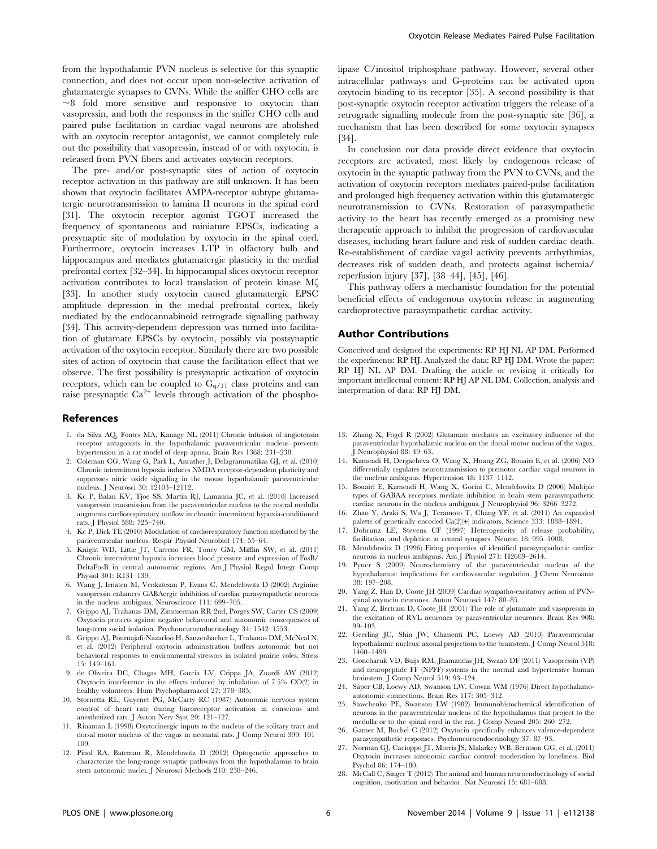from the hypothalamic PVN nucleus is selective for this synaptic connection, and does not occur upon non-selective activation of glutamatergic synapses to CVNs. While the sniffer CHO cells are  $\sim$ 8 fold more sensitive and responsive to oxytocin than vasopressin, and both the responses in the sniffer CHO cells and paired pulse facilitation in cardiac vagal neurons are abolished with an oxytocin receptor antagonist, we cannot completely rule out the possibility that vasopressin, instead of or with oxytocin, is released from PVN fibers and activates oxytocin receptors.

The pre- and/or post-synaptic sites of action of oxytocin receptor activation in this pathway are still unknown. It has been shown that oxytocin facilitates AMPA-receptor subtype glutamatergic neurotransmission to lamina II neurons in the spinal cord [31]. The oxytocin receptor agonist TGOT increased the frequency of spontaneous and miniature EPSCs, indicating a presynaptic site of modulation by oxytocin in the spinal cord. Furthermore, oxytocin increases LTP in olfactory bulb and hippocampus and mediates glutamatergic plasticity in the medial prefrontal cortex [32–34]. In hippocampal slices oxytocin receptor activation contributes to local translation of protein kinase Mf [33]. In another study oxytocin caused glutamatergic EPSC amplitude depression in the medial prefrontal cortex, likely mediated by the endocannabinoid retrograde signalling pathway [34]. This activity-dependent depression was turned into facilitation of glutamate EPSCs by oxytocin, possibly via postsynaptic activation of the oxytocin receptor. Similarly there are two possible sites of action of oxytocin that cause the facilitation effect that we observe. The first possibility is presynaptic activation of oxytocin receptors, which can be coupled to  $G<sub>q/11</sub>$  class proteins and can raise presynaptic  $Ca^{2+}$  levels through activation of the phospho-

#### References

- 1. da Silva AQ, Fontes MA, Kanagy NL (2011) Chronic infusion of angiotensin receptor antagonists in the hypothalamic paraventricular nucleus prevents hypertension in a rat model of sleep apnea. Brain Res 1368: 231–238.
- 2. Coleman CG, Wang G, Park L, Anrather J, Delagrammatikas GJ, et al. (2010) Chronic intermittent hypoxia induces NMDA receptor-dependent plasticity and suppresses nitric oxide signaling in the mouse hypothalamic paraventricular nucleus. J Neurosci 30: 12103–12112.
- 3. Kc P, Balan KV, Tjoe SS, Martin RJ, Lamanna JC, et al. (2010) Increased vasopressin transmission from the paraventricular nucleus to the rostral medulla augments cardiorespiratory outflow in chronic intermittent hypoxia-conditioned rats. J Physiol 588: 725–740.
- 4. Kc P, Dick TE (2010) Modulation of cardiorespiratory function mediated by the paraventricular nucleus. Respir Physiol Neurobiol 174: 55–64.
- 5. Knight WD, Little JT, Carreno FR, Toney GM, Mifflin SW, et al. (2011) Chronic intermittent hypoxia increases blood pressure and expression of FosB/ DeltaFosB in central autonomic regions. Am J Physiol Regul Integr Comp Physiol 301: R131–139.
- 6. Wang J, Irnaten M, Venkatesan P, Evans C, Mendelowitz D (2002) Arginine vasopressin enhances GABAergic inhibition of cardiac parasympathetic neurons in the nucleus ambiguus. Neuroscience 111: 699–705.
- 7. Grippo AJ, Trahanas DM, Zimmerman RR 2nd, Porges SW, Carter CS (2009) Oxytocin protects against negative behavioral and autonomic consequences of long-term social isolation. Psychoneuroendocrinology 34: 1542–1553.
- 8. Grippo AJ, Pournajafi-Nazarloo H, Sanzenbacher L, Trahanas DM, McNeal N, et al. (2012) Peripheral oxytocin administration buffers autonomic but not behavioral responses to environmental stressors in isolated prairie voles. Stress 15: 149–161.
- 9. de Oliveira DC, Chagas MH, Garcia LV, Crippa JA, Zuardi AW (2012) Oxytocin interference in the effects induced by inhalation of 7.5% CO(2) in healthy volunteers. Hum Psychopharmacol 27: 378–385.
- 10. Stornetta RL, Guyenet PG, McCarty RC (1987) Autonomic nervous system control of heart rate during baroreceptor activation in conscious and anesthetized rats. J Auton Nerv Syst 20: 121–127.
- 11. Rinaman L (1998) Oxytocinergic inputs to the nucleus of the solitary tract and dorsal motor nucleus of the vagus in neonatal rats. J Comp Neurol 399: 101– 109.
- 12. Pinol RA, Bateman R, Mendelowitz D (2012) Optogenetic approaches to characterize the long-range synaptic pathways from the hypothalamus to brain stem autonomic nuclei. J Neurosci Methods 210: 238-246.

lipase C/inositol triphosphate pathway. However, several other intracellular pathways and G-proteins can be activated upon oxytocin binding to its receptor [35]. A second possibility is that post-synaptic oxytocin receptor activation triggers the release of a retrograde signalling molecule from the post-synaptic site [36], a mechanism that has been described for some oxytocin synapses [34].

In conclusion our data provide direct evidence that oxytocin receptors are activated, most likely by endogenous release of oxytocin in the synaptic pathway from the PVN to CVNs, and the activation of oxytocin receptors mediates paired-pulse facilitation and prolonged high frequency activation within this glutamatergic neurotransmission to CVNs. Restoration of parasympathetic activity to the heart has recently emerged as a promising new therapeutic approach to inhibit the progression of cardiovascular diseases, including heart failure and risk of sudden cardiac death. Re-establishment of cardiac vagal activity prevents arrhythmias, decreases risk of sudden death, and protects against ischemia/ reperfusion injury [37], [38–44], [45], [46].

This pathway offers a mechanistic foundation for the potential beneficial effects of endogenous oxytocin release in augmenting cardioprotective parasympathetic cardiac activity.

## Author Contributions

Conceived and designed the experiments: RP HJ NL AP DM. Performed the experiments: RP HJ. Analyzed the data: RP HJ DM. Wrote the paper: RP HJ NL AP DM. Drafting the article or revising it critically for important intellectual content: RP HJ AP NL DM. Collection, analysis and interpretation of data: RP HJ DM.

- 13. Zhang X, Fogel R (2002) Glutamate mediates an excitatory influence of the paraventricular hypothalamic nucleus on the dorsal motor nucleus of the vagus. J Neurophysiol 88: 49–63.
- 14. Kamendi H, Dergacheva O, Wang X, Huang ZG, Bouairi E, et al. (2006) NO differentially regulates neurotransmission to premotor cardiac vagal neurons in the nucleus ambiguus. Hypertension 48: 1137–1142.
- 15. Bouairi E, Kamendi H, Wang X, Gorini C, Mendelowitz D (2006) Multiple types of GABAA receptors mediate inhibition in brain stem parasympathetic cardiac neurons in the nucleus ambiguus. J Neurophysiol 96: 3266–3272.
- 16. Zhao Y, Araki S, Wu J, Teramoto T, Chang YF, et al. (2011) An expanded palette of genetically encoded Ca(2)(+) indicators. Science 333: 1888–1891.
- 17. Dobrunz LE, Stevens CF (1997) Heterogeneity of release probability, facilitation, and depletion at central synapses. Neuron 18: 995–1008.
- 18. Mendelowitz D (1996) Firing properties of identified parasympathetic cardiac neurons in nucleus ambiguus. Am J Physiol 271: H2609–2614.
- 19. Pyner S (2009) Neurochemistry of the paraventricular nucleus of the hypothalamus: implications for cardiovascular regulation. J Chem Neuroanat 38: 197–208.
- 20. Yang Z, Han D, Coote JH (2009) Cardiac sympatho-excitatory action of PVNspinal oxytocin neurones. Auton Neurosci 147: 80–85.
- 21. Yang Z, Bertram D, Coote JH (2001) The role of glutamate and vasopressin in the excitation of RVL neurones by paraventricular neurones. Brain Res 908: 99–103.
- 22. Geerling JC, Shin JW, Chimenti PC, Loewy AD (2010) Paraventricular hypothalamic nucleus: axonal projections to the brainstem. J Comp Neurol 518: 1460–1499.
- 23. Goncharuk VD, Buijs RM, Jhamandas JH, Swaab DF (2011) Vasopressin (VP) and neuropeptide FF (NPFF) systems in the normal and hypertensive human brainstem. J Comp Neurol 519: 93–124.
- 24. Saper CB, Loewy AD, Swanson LW, Cowan WM (1976) Direct hypothalamoautonomic connections. Brain Res 117: 305–312.
- 25. Sawchenko PE, Swanson LW (1982) Immunohistochemical identification of neurons in the paraventricular nucleus of the hypothalamus that project to the medulla or to the spinal cord in the rat. J Comp Neurol 205: 260–272.
- 26. Gamer M, Buchel C (2012) Oxytocin specifically enhances valence-dependent parasympathetic responses. Psychoneuroendocrinology 37: 87–93.
- 27. Norman GJ, Cacioppo JT, Morris JS, Malarkey WB, Berntson GG, et al. (2011) Oxytocin increases autonomic cardiac control: moderation by loneliness. Biol Psychol 86: 174–180.
- 28. McCall C, Singer T (2012) The animal and human neuroendocrinology of social cognition, motivation and behavior. Nat Neurosci 15: 681–688.